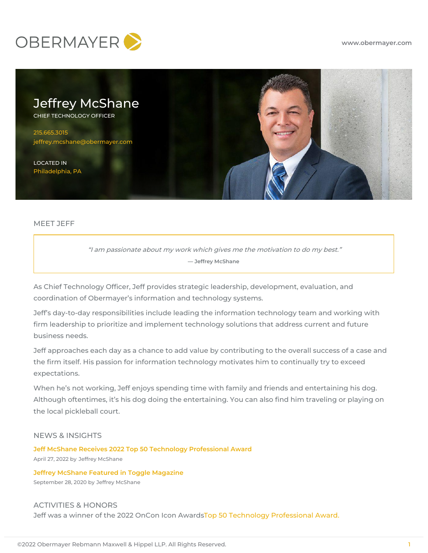



# MEET JEFF

"I am passionate about my work which gives me the motivation to do my best." **— Jeffrey McShane**

As Chief Technology Officer, Jeff provides strategic leadership, development, evaluation, and coordination of Obermayer's information and technology systems.

Jeff's day-to-day responsibilities include leading the information technology team and working with firm leadership to prioritize and implement technology solutions that address current and future business needs.

Jeff approaches each day as a chance to add value by contributing to the overall success of a case and the firm itself. His passion for information technology motivates him to continually try to exceed expectations.

When he's not working, Jeff enjoys spending time with family and friends and entertaining his dog. Although oftentimes, it's his dog doing the entertaining. You can also find him traveling or playing on the local pickleball court.

# NEWS & INSIGHTS

**Jeff McShane Receives 2022 Top 50 Technology [Professional](https://www.obermayer.com/jeff-mcshane-receives-2022-top-50-technology-professional-award/) Award** April 27, 2022 by Jeffrey [McShane](https://www.obermayer.com/news-insights/?posts-author=atty-10029)

**Jeffrey McShane Featured in Toggle [Magazine](https://www.obermayer.com/jeffrey-mcshane-featured-in-toggle-magazine/)** September 28, 2020 by Jeffrey [McShane](https://www.obermayer.com/news-insights/?posts-author=atty-10029)

ACTIVITIES & HONORS Jeff was a winner of the 2022 OnCon Icon AwardsTop 50 Technology [Professional](https://www.onconferences.com/2022-tech-winners) Award.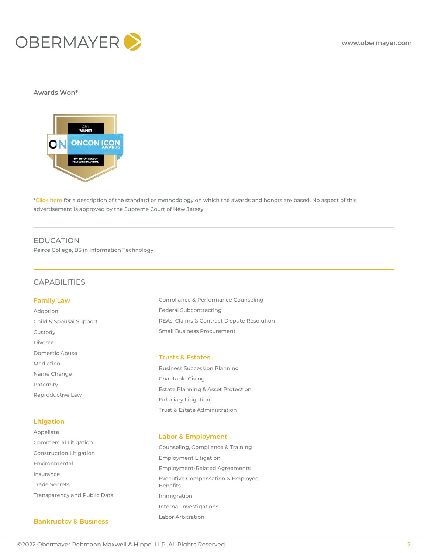

#### **Awards Won\***



\*[Click](http://www.obermayer.com/disclaimer/#rankings) here for a description of the standard or methodology on which the awards and honors are based. No aspect of this advertisement is approved by the Supreme Court of New Jersey.

# EDUCATION

Peirce College, BS in Information Technology

# CAPABILITIES

#### **Family Law**

[Adoption](https://www.obermayer.com/capabilities/practices/family-law/adoption/) Child & Spousal [Support](https://www.obermayer.com/capabilities/practices/family-law/child-spousal-support/) [Custody](https://www.obermayer.com/capabilities/practices/family-law/custody/) [Divorce](https://www.obermayer.com/capabilities/practices/family-law/divorce/) [Domestic](https://www.obermayer.com/capabilities/practices/family-law/domestic-abuse/) Abuse [Mediation](https://www.obermayer.com/capabilities/practices/family-law/mediation/) Name [Change](https://www.obermayer.com/capabilities/practices/family-law/name-change/) [Paternity](https://www.obermayer.com/capabilities/practices/family-law/paternity/) [Reproductive](https://www.obermayer.com/capabilities/practices/family-law/reproductive-law/) Law

## **Litigation**

[Appellate](https://www.obermayer.com/capabilities/practices/litigation/appellate/) [Commercial](https://www.obermayer.com/capabilities/practices/litigation/commercial-litigation/) Litigation [Construction](https://www.obermayer.com/capabilities/practices/litigation/construction-litigation/) Litigation [Environmental](https://www.obermayer.com/capabilities/practices/litigation/environmental/) [Insurance](https://www.obermayer.com/capabilities/practices/litigation/insurance/) Trade [Secrets](https://www.obermayer.com/capabilities/practices/litigation/trade-secrets/) [Transparency](https://www.obermayer.com/capabilities/practices/litigation/transparency-and-public-data/) and Public Data

#### **Bankruptcy & Business**

Compliance & [Performance](https://www.obermayer.com/capabilities/practices/government-contracting/compliance-and-performance-counseling/) Counseling Federal [Subcontracting](https://www.obermayer.com/capabilities/practices/government-contracting/federal-subcontracting/) REAs, Claims & Contract Dispute [Resolution](https://www.obermayer.com/capabilities/practices/government-contracting/reas-claims-and-contract-dispute-resolution/) Small Business [Procurement](https://www.obermayer.com/capabilities/practices/government-contracting/small-business-procurement/)

### **Trusts & Estates**

Business [Succession](https://www.obermayer.com/capabilities/practices/trusts-estates/business-succession-planning/) Planning [Charitable](https://www.obermayer.com/capabilities/practices/trusts-estates/charitable-giving/) Giving Estate Planning & Asset [Protection](https://www.obermayer.com/capabilities/practices/trusts-estates/estate-planning-asset-protection/) Fiduciary [Litigation](https://www.obermayer.com/capabilities/practices/trusts-estates/fiduciary-litigation/) Trust & Estate [Administration](https://www.obermayer.com/capabilities/practices/trusts-estates/trust-estate-administration/)

#### **Labor & Employment**

Counseling, [Compliance](https://www.obermayer.com/capabilities/practices/labor-employment/counseling-compliance-training/) & Training [Employment](https://www.obermayer.com/capabilities/practices/labor-employment/employment-litigation/) Litigation [Employment-Related](https://www.obermayer.com/capabilities/practices/labor-employment/employment-related-agreements/) Agreements Executive [Compensation](https://www.obermayer.com/capabilities/practices/labor-employment/executive-compensation-employee-benefits/) & Employee Benefits [Immigration](https://www.obermayer.com/capabilities/practices/labor-employment/immigration/) Internal [Investigations](https://www.obermayer.com/capabilities/practices/labor-employment/internal-investigations/) Labor [Arbitration](https://www.obermayer.com/capabilities/practices/labor-employment/labor-arbitration/)